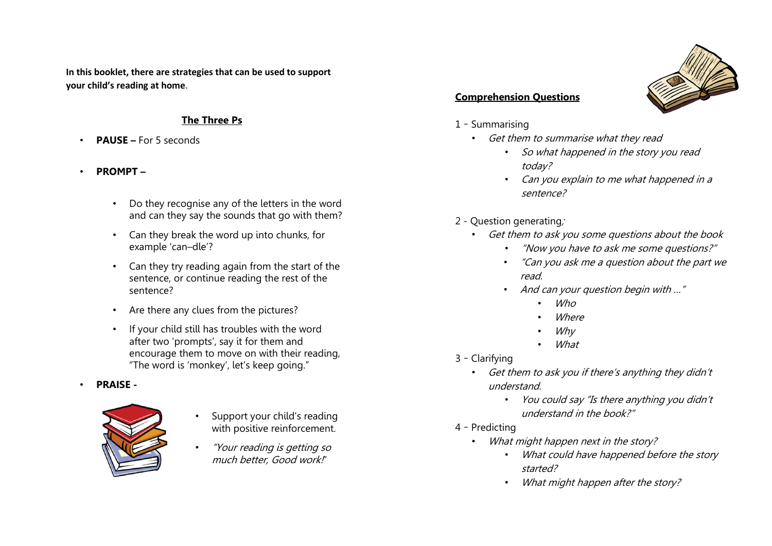**In this booklet, there are strategies that can be used to support your child's reading at home**.

#### **The Three Ps**

- **PAUSE –** For 5 seconds
- **PROMPT –**
	- Do they recognise any of the letters in the word and can they say the sounds that go with them?
	- Can they break the word up into chunks, for example 'can–dle'?
	- Can they try reading again from the start of the sentence, or continue reading the rest of the sentence?
	- Are there any clues from the pictures?
	- If your child still has troubles with the word after two 'prompts', say it for them and encourage them to move on with their reading, "The word is 'monkey', let's keep going."
- **PRAISE -**



- Support your child's reading with positive reinforcement.
- "Your reading is getting so much better, Good work!"



### **Comprehension Questions**

- 1 Summarising
	- Get them to summarise what they read
		- So what happened in the story you read today?
		- Can you explain to me what happened in a sentence?
- 2 Question generating;
	- Get them to ask you some questions about the book
		- "Now you have to ask me some questions?"
		- "Can you ask me a question about the part we read.
		- And can your question begin with ..."
			- Who
			- **Where**
			- Why
			- What
- 3 Clarifying
	- Get them to ask you if there's anything they didn't understand.
		- You could say "Is there anything you didn't understand in the book?"
- 4 Predicting
	- What might happen next in the story?
		- What could have happened before the story started?
		- What might happen after the story?